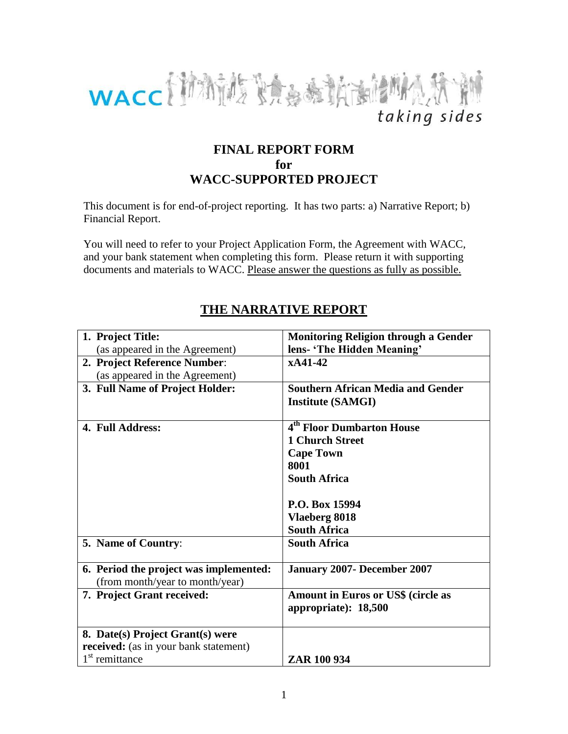

## **FINAL REPORT FORM for WACC-SUPPORTED PROJECT**

This document is for end-of-project reporting. It has two parts: a) Narrative Report; b) Financial Report.

You will need to refer to your Project Application Form, the Agreement with WACC, and your bank statement when completing this form. Please return it with supporting documents and materials to WACC. Please answer the questions as fully as possible.

| 1. Project Title:                            | <b>Monitoring Religion through a Gender</b> |
|----------------------------------------------|---------------------------------------------|
| (as appeared in the Agreement)               | lens- 'The Hidden Meaning'                  |
| 2. Project Reference Number:                 | xA41-42                                     |
| (as appeared in the Agreement)               |                                             |
| 3. Full Name of Project Holder:              | <b>Southern African Media and Gender</b>    |
|                                              | <b>Institute (SAMGI)</b>                    |
|                                              |                                             |
| 4. Full Address:                             | 4 <sup>th</sup> Floor Dumbarton House       |
|                                              | <b>1 Church Street</b>                      |
|                                              | <b>Cape Town</b>                            |
|                                              | 8001                                        |
|                                              | <b>South Africa</b>                         |
|                                              |                                             |
|                                              | P.O. Box 15994                              |
|                                              | Vlaeberg 8018                               |
|                                              | <b>South Africa</b>                         |
| 5. Name of Country:                          | <b>South Africa</b>                         |
|                                              |                                             |
| 6. Period the project was implemented:       | <b>January 2007- December 2007</b>          |
| (from month/year to month/year)              |                                             |
| 7. Project Grant received:                   | <b>Amount in Euros or US\$ (circle as</b>   |
|                                              | appropriate): 18,500                        |
|                                              |                                             |
| 8. Date(s) Project Grant(s) were             |                                             |
| <b>received:</b> (as in your bank statement) |                                             |
| 1 <sup>st</sup> remittance                   | ZAR 100 934                                 |

# **THE NARRATIVE REPORT**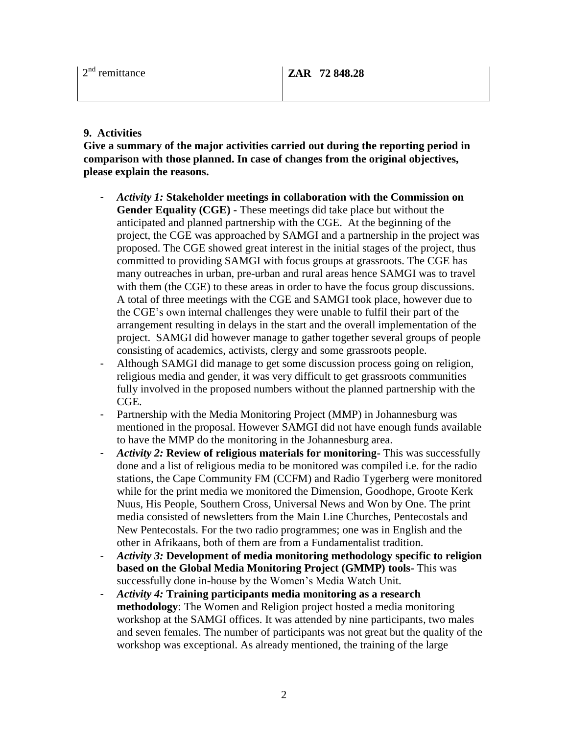#### **9. Activities**

**Give a summary of the major activities carried out during the reporting period in comparison with those planned. In case of changes from the original objectives, please explain the reasons.**

- *Activity 1:* **Stakeholder meetings in collaboration with the Commission on Gender Equality (CGE) -** These meetings did take place but without the anticipated and planned partnership with the CGE. At the beginning of the project, the CGE was approached by SAMGI and a partnership in the project was proposed. The CGE showed great interest in the initial stages of the project, thus committed to providing SAMGI with focus groups at grassroots. The CGE has many outreaches in urban, pre-urban and rural areas hence SAMGI was to travel with them (the CGE) to these areas in order to have the focus group discussions. A total of three meetings with the CGE and SAMGI took place, however due to the CGE's own internal challenges they were unable to fulfil their part of the arrangement resulting in delays in the start and the overall implementation of the project. SAMGI did however manage to gather together several groups of people consisting of academics, activists, clergy and some grassroots people.
- Although SAMGI did manage to get some discussion process going on religion, religious media and gender, it was very difficult to get grassroots communities fully involved in the proposed numbers without the planned partnership with the CGE.
- Partnership with the Media Monitoring Project (MMP) in Johannesburg was mentioned in the proposal. However SAMGI did not have enough funds available to have the MMP do the monitoring in the Johannesburg area.
- *Activity 2:* **Review of religious materials for monitoring-** This was successfully done and a list of religious media to be monitored was compiled i.e. for the radio stations, the Cape Community FM (CCFM) and Radio Tygerberg were monitored while for the print media we monitored the Dimension, Goodhope, Groote Kerk Nuus, His People, Southern Cross, Universal News and Won by One. The print media consisted of newsletters from the Main Line Churches, Pentecostals and New Pentecostals. For the two radio programmes; one was in English and the other in Afrikaans, both of them are from a Fundamentalist tradition.
- *Activity 3:* **Development of media monitoring methodology specific to religion based on the Global Media Monitoring Project (GMMP) tools-** This was successfully done in-house by the Women's Media Watch Unit.
- *Activity 4:* **Training participants media monitoring as a research methodology**: The Women and Religion project hosted a media monitoring workshop at the SAMGI offices. It was attended by nine participants, two males and seven females. The number of participants was not great but the quality of the workshop was exceptional. As already mentioned, the training of the large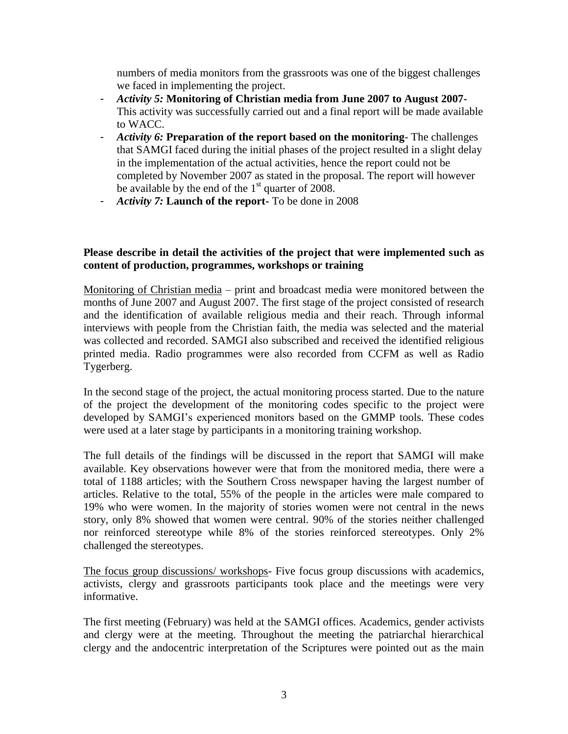numbers of media monitors from the grassroots was one of the biggest challenges we faced in implementing the project.

- *Activity 5:* **Monitoring of Christian media from June 2007 to August 2007-** This activity was successfully carried out and a final report will be made available to WACC.
- *Activity 6:* **Preparation of the report based on the monitoring** The challenges that SAMGI faced during the initial phases of the project resulted in a slight delay in the implementation of the actual activities, hence the report could not be completed by November 2007 as stated in the proposal. The report will however be available by the end of the  $1<sup>st</sup>$  quarter of 2008.
- *Activity 7:* **Launch of the report-** To be done in 2008

#### **Please describe in detail the activities of the project that were implemented such as content of production, programmes, workshops or training**

Monitoring of Christian media – print and broadcast media were monitored between the months of June 2007 and August 2007. The first stage of the project consisted of research and the identification of available religious media and their reach. Through informal interviews with people from the Christian faith, the media was selected and the material was collected and recorded. SAMGI also subscribed and received the identified religious printed media. Radio programmes were also recorded from CCFM as well as Radio Tygerberg.

In the second stage of the project, the actual monitoring process started. Due to the nature of the project the development of the monitoring codes specific to the project were developed by SAMGI's experienced monitors based on the GMMP tools. These codes were used at a later stage by participants in a monitoring training workshop.

The full details of the findings will be discussed in the report that SAMGI will make available. Key observations however were that from the monitored media, there were a total of 1188 articles; with the Southern Cross newspaper having the largest number of articles. Relative to the total, 55% of the people in the articles were male compared to 19% who were women. In the majority of stories women were not central in the news story, only 8% showed that women were central. 90% of the stories neither challenged nor reinforced stereotype while 8% of the stories reinforced stereotypes. Only 2% challenged the stereotypes.

The focus group discussions/ workshops- Five focus group discussions with academics, activists, clergy and grassroots participants took place and the meetings were very informative.

The first meeting (February) was held at the SAMGI offices. Academics, gender activists and clergy were at the meeting. Throughout the meeting the patriarchal hierarchical clergy and the andocentric interpretation of the Scriptures were pointed out as the main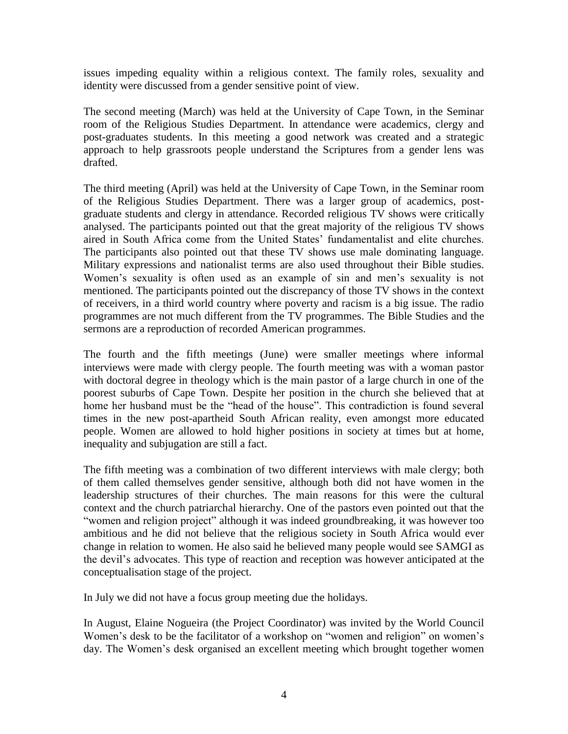issues impeding equality within a religious context. The family roles, sexuality and identity were discussed from a gender sensitive point of view.

The second meeting (March) was held at the University of Cape Town, in the Seminar room of the Religious Studies Department. In attendance were academics, clergy and post-graduates students. In this meeting a good network was created and a strategic approach to help grassroots people understand the Scriptures from a gender lens was drafted.

The third meeting (April) was held at the University of Cape Town, in the Seminar room of the Religious Studies Department. There was a larger group of academics, postgraduate students and clergy in attendance. Recorded religious TV shows were critically analysed. The participants pointed out that the great majority of the religious TV shows aired in South Africa come from the United States' fundamentalist and elite churches. The participants also pointed out that these TV shows use male dominating language. Military expressions and nationalist terms are also used throughout their Bible studies. Women's sexuality is often used as an example of sin and men's sexuality is not mentioned. The participants pointed out the discrepancy of those TV shows in the context of receivers, in a third world country where poverty and racism is a big issue. The radio programmes are not much different from the TV programmes. The Bible Studies and the sermons are a reproduction of recorded American programmes.

The fourth and the fifth meetings (June) were smaller meetings where informal interviews were made with clergy people. The fourth meeting was with a woman pastor with doctoral degree in theology which is the main pastor of a large church in one of the poorest suburbs of Cape Town. Despite her position in the church she believed that at home her husband must be the "head of the house". This contradiction is found several times in the new post-apartheid South African reality, even amongst more educated people. Women are allowed to hold higher positions in society at times but at home, inequality and subjugation are still a fact.

The fifth meeting was a combination of two different interviews with male clergy; both of them called themselves gender sensitive, although both did not have women in the leadership structures of their churches. The main reasons for this were the cultural context and the church patriarchal hierarchy. One of the pastors even pointed out that the "women and religion project" although it was indeed groundbreaking, it was however too ambitious and he did not believe that the religious society in South Africa would ever change in relation to women. He also said he believed many people would see SAMGI as the devil's advocates. This type of reaction and reception was however anticipated at the conceptualisation stage of the project.

In July we did not have a focus group meeting due the holidays.

In August, Elaine Nogueira (the Project Coordinator) was invited by the World Council Women's desk to be the facilitator of a workshop on "women and religion" on women's day. The Women's desk organised an excellent meeting which brought together women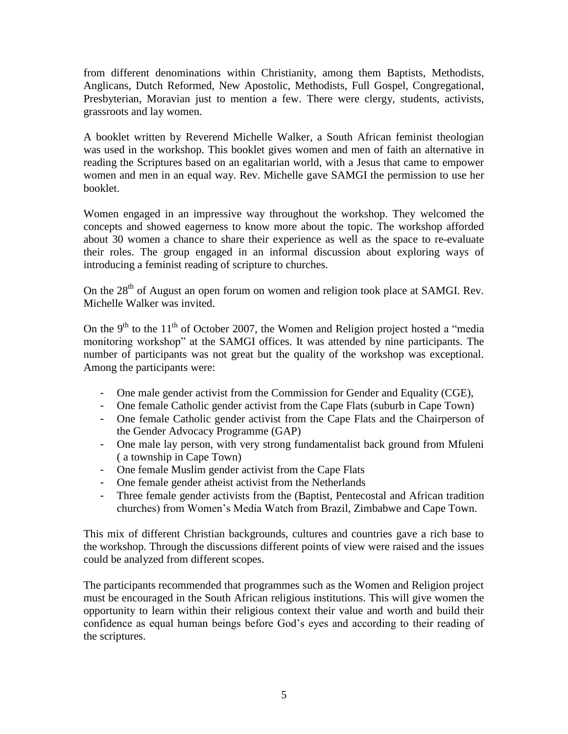from different denominations within Christianity, among them Baptists, Methodists, Anglicans, Dutch Reformed, New Apostolic, Methodists, Full Gospel, Congregational, Presbyterian, Moravian just to mention a few. There were clergy, students, activists, grassroots and lay women.

A booklet written by Reverend Michelle Walker, a South African feminist theologian was used in the workshop. This booklet gives women and men of faith an alternative in reading the Scriptures based on an egalitarian world, with a Jesus that came to empower women and men in an equal way. Rev. Michelle gave SAMGI the permission to use her booklet.

Women engaged in an impressive way throughout the workshop. They welcomed the concepts and showed eagerness to know more about the topic. The workshop afforded about 30 women a chance to share their experience as well as the space to re-evaluate their roles. The group engaged in an informal discussion about exploring ways of introducing a feminist reading of scripture to churches.

On the 28<sup>th</sup> of August an open forum on women and religion took place at SAMGI. Rev. Michelle Walker was invited.

On the 9<sup>th</sup> to the 11<sup>th</sup> of October 2007, the Women and Religion project hosted a "media" monitoring workshop" at the SAMGI offices. It was attended by nine participants. The number of participants was not great but the quality of the workshop was exceptional. Among the participants were:

- One male gender activist from the Commission for Gender and Equality (CGE),
- One female Catholic gender activist from the Cape Flats (suburb in Cape Town)
- One female Catholic gender activist from the Cape Flats and the Chairperson of the Gender Advocacy Programme (GAP)
- One male lay person, with very strong fundamentalist back ground from Mfuleni ( a township in Cape Town)
- One female Muslim gender activist from the Cape Flats
- One female gender atheist activist from the Netherlands
- Three female gender activists from the (Baptist, Pentecostal and African tradition churches) from Women's Media Watch from Brazil, Zimbabwe and Cape Town.

This mix of different Christian backgrounds, cultures and countries gave a rich base to the workshop. Through the discussions different points of view were raised and the issues could be analyzed from different scopes.

The participants recommended that programmes such as the Women and Religion project must be encouraged in the South African religious institutions. This will give women the opportunity to learn within their religious context their value and worth and build their confidence as equal human beings before God's eyes and according to their reading of the scriptures.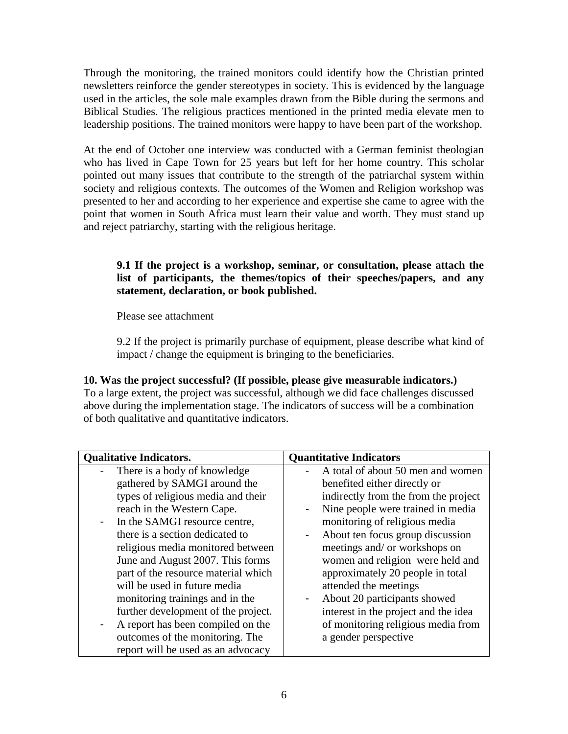Through the monitoring, the trained monitors could identify how the Christian printed newsletters reinforce the gender stereotypes in society. This is evidenced by the language used in the articles, the sole male examples drawn from the Bible during the sermons and Biblical Studies. The religious practices mentioned in the printed media elevate men to leadership positions. The trained monitors were happy to have been part of the workshop.

At the end of October one interview was conducted with a German feminist theologian who has lived in Cape Town for 25 years but left for her home country. This scholar pointed out many issues that contribute to the strength of the patriarchal system within society and religious contexts. The outcomes of the Women and Religion workshop was presented to her and according to her experience and expertise she came to agree with the point that women in South Africa must learn their value and worth. They must stand up and reject patriarchy, starting with the religious heritage.

#### **9.1 If the project is a workshop, seminar, or consultation, please attach the list of participants, the themes/topics of their speeches/papers, and any statement, declaration, or book published.**

Please see attachment

9.2 If the project is primarily purchase of equipment, please describe what kind of impact / change the equipment is bringing to the beneficiaries.

### **10. Was the project successful? (If possible, please give measurable indicators.)**

To a large extent, the project was successful, although we did face challenges discussed above during the implementation stage. The indicators of success will be a combination of both qualitative and quantitative indicators.

| <b>Qualitative Indicators.</b>         | <b>Quantitative Indicators</b>         |
|----------------------------------------|----------------------------------------|
| There is a body of knowledge           | A total of about 50 men and women      |
| gathered by SAMGI around the           | benefited either directly or           |
| types of religious media and their     | indirectly from the from the project   |
| reach in the Western Cape.             | Nine people were trained in media<br>۰ |
| In the SAMGI resource centre,<br>Ξ.    | monitoring of religious media          |
| there is a section dedicated to        | About ten focus group discussion       |
| religious media monitored between      | meetings and/ or workshops on          |
| June and August 2007. This forms       | women and religion were held and       |
| part of the resource material which    | approximately 20 people in total       |
| will be used in future media           | attended the meetings                  |
| monitoring trainings and in the        | About 20 participants showed<br>۰      |
| further development of the project.    | interest in the project and the idea   |
| A report has been compiled on the<br>- | of monitoring religious media from     |
| outcomes of the monitoring. The        | a gender perspective                   |
| report will be used as an advocacy     |                                        |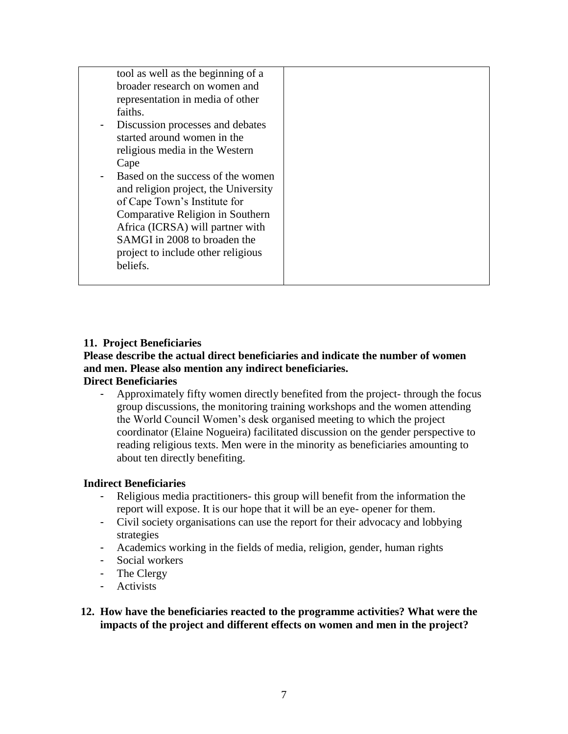| tool as well as the beginning of a         |  |
|--------------------------------------------|--|
| broader research on women and              |  |
| representation in media of other           |  |
| faiths.                                    |  |
| Discussion processes and debates<br>$\sim$ |  |
| started around women in the                |  |
| religious media in the Western             |  |
| Cape                                       |  |
| Based on the success of the women          |  |
| and religion project, the University       |  |
| of Cape Town's Institute for               |  |
| Comparative Religion in Southern           |  |
| Africa (ICRSA) will partner with           |  |
| SAMGI in 2008 to broaden the               |  |
| project to include other religious         |  |
| beliefs.                                   |  |
|                                            |  |

#### **11. Project Beneficiaries**

## **Please describe the actual direct beneficiaries and indicate the number of women and men. Please also mention any indirect beneficiaries.**

#### **Direct Beneficiaries**

- Approximately fifty women directly benefited from the project- through the focus group discussions, the monitoring training workshops and the women attending the World Council Women's desk organised meeting to which the project coordinator (Elaine Nogueira) facilitated discussion on the gender perspective to reading religious texts. Men were in the minority as beneficiaries amounting to about ten directly benefiting.

#### **Indirect Beneficiaries**

- Religious media practitioners- this group will benefit from the information the report will expose. It is our hope that it will be an eye- opener for them.
- Civil society organisations can use the report for their advocacy and lobbying strategies
- Academics working in the fields of media, religion, gender, human rights
- Social workers
- The Clergy
- Activists

#### **12. How have the beneficiaries reacted to the programme activities? What were the impacts of the project and different effects on women and men in the project?**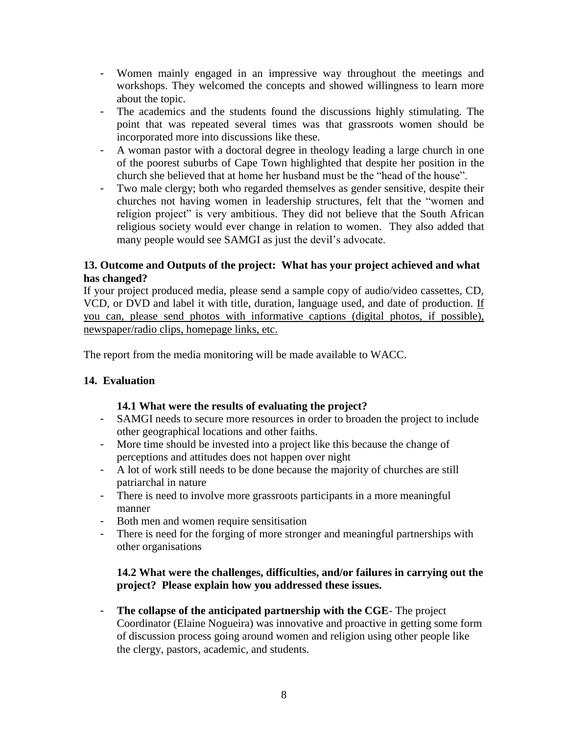- Women mainly engaged in an impressive way throughout the meetings and workshops. They welcomed the concepts and showed willingness to learn more about the topic.
- The academics and the students found the discussions highly stimulating. The point that was repeated several times was that grassroots women should be incorporated more into discussions like these.
- A woman pastor with a doctoral degree in theology leading a large church in one of the poorest suburbs of Cape Town highlighted that despite her position in the church she believed that at home her husband must be the "head of the house".
- Two male clergy; both who regarded themselves as gender sensitive, despite their churches not having women in leadership structures, felt that the "women and religion project" is very ambitious. They did not believe that the South African religious society would ever change in relation to women. They also added that many people would see SAMGI as just the devil's advocate.

### **13. Outcome and Outputs of the project: What has your project achieved and what has changed?**

If your project produced media, please send a sample copy of audio/video cassettes, CD, VCD, or DVD and label it with title, duration, language used, and date of production. If you can, please send photos with informative captions (digital photos, if possible), newspaper/radio clips, homepage links, etc.

The report from the media monitoring will be made available to WACC.

### **14. Evaluation**

### **14.1 What were the results of evaluating the project?**

- SAMGI needs to secure more resources in order to broaden the project to include other geographical locations and other faiths.
- More time should be invested into a project like this because the change of perceptions and attitudes does not happen over night
- A lot of work still needs to be done because the majority of churches are still patriarchal in nature
- There is need to involve more grassroots participants in a more meaningful manner
- Both men and women require sensitisation
- There is need for the forging of more stronger and meaningful partnerships with other organisations

### **14.2 What were the challenges, difficulties, and/or failures in carrying out the project? Please explain how you addressed these issues.**

- **The collapse of the anticipated partnership with the CGE**- The project Coordinator (Elaine Nogueira) was innovative and proactive in getting some form of discussion process going around women and religion using other people like the clergy, pastors, academic, and students.